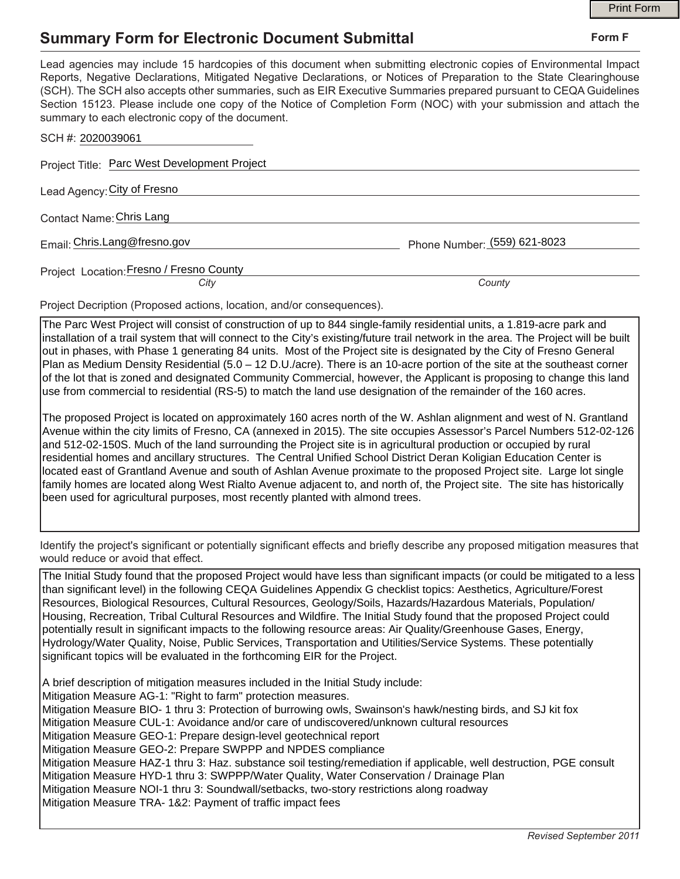## **Summary Form for Electronic Document Submittal**

|                                                                                                                                                                                                                                                                                                                                                                                                                                                                                                                                           |                              | <b>Print Form</b> |
|-------------------------------------------------------------------------------------------------------------------------------------------------------------------------------------------------------------------------------------------------------------------------------------------------------------------------------------------------------------------------------------------------------------------------------------------------------------------------------------------------------------------------------------------|------------------------------|-------------------|
| <b>Summary Form for Electronic Document Submittal</b>                                                                                                                                                                                                                                                                                                                                                                                                                                                                                     |                              | Form F            |
| Lead agencies may include 15 hardcopies of this document when submitting electronic copies of Environmental Impact<br>Reports, Negative Declarations, Mitigated Negative Declarations, or Notices of Preparation to the State Clearinghouse<br>(SCH). The SCH also accepts other summaries, such as EIR Executive Summaries prepared pursuant to CEQA Guidelines<br>Section 15123. Please include one copy of the Notice of Completion Form (NOC) with your submission and attach the<br>summary to each electronic copy of the document. |                              |                   |
| SCH #: 2020039061                                                                                                                                                                                                                                                                                                                                                                                                                                                                                                                         |                              |                   |
| Project Title: Parc West Development Project                                                                                                                                                                                                                                                                                                                                                                                                                                                                                              |                              |                   |
| Lead Agency: City of Fresno                                                                                                                                                                                                                                                                                                                                                                                                                                                                                                               |                              |                   |
| Contact Name: Chris Lang                                                                                                                                                                                                                                                                                                                                                                                                                                                                                                                  |                              |                   |
| Email: Chris.Lang@fresno.gov                                                                                                                                                                                                                                                                                                                                                                                                                                                                                                              | Phone Number: (559) 621-8023 |                   |
| Project Location: Fresno / Fresno County                                                                                                                                                                                                                                                                                                                                                                                                                                                                                                  |                              |                   |
| City                                                                                                                                                                                                                                                                                                                                                                                                                                                                                                                                      | County                       |                   |

Project Decription (Proposed actions, location, and/or consequences).

The Parc West Project will consist of construction of up to 844 single-family residential units, a 1.819-acre park and installation of a trail system that will connect to the City's existing/future trail network in the area. The Project will be built out in phases, with Phase 1 generating 84 units. Most of the Project site is designated by the City of Fresno General Plan as Medium Density Residential (5.0 – 12 D.U./acre). There is an 10-acre portion of the site at the southeast corner of the lot that is zoned and designated Community Commercial, however, the Applicant is proposing to change this land use from commercial to residential (RS-5) to match the land use designation of the remainder of the 160 acres.

The proposed Project is located on approximately 160 acres north of the W. Ashlan alignment and west of N. Grantland Avenue within the city limits of Fresno, CA (annexed in 2015). The site occupies Assessor's Parcel Numbers 512-02-126 and 512-02-150S. Much of the land surrounding the Project site is in agricultural production or occupied by rural residential homes and ancillary structures. The Central Unified School District Deran Koligian Education Center is located east of Grantland Avenue and south of Ashlan Avenue proximate to the proposed Project site. Large lot single family homes are located along West Rialto Avenue adjacent to, and north of, the Project site. The site has historically been used for agricultural purposes, most recently planted with almond trees.

Identify the project's significant or potentially significant effects and briefly describe any proposed mitigation measures that would reduce or avoid that effect.

The Initial Study found that the proposed Project would have less than significant impacts (or could be mitigated to a less than significant level) in the following CEQA Guidelines Appendix G checklist topics: Aesthetics, Agriculture/Forest Resources, Biological Resources, Cultural Resources, Geology/Soils, Hazards/Hazardous Materials, Population/ Housing, Recreation, Tribal Cultural Resources and Wildfire. The Initial Study found that the proposed Project could potentially result in significant impacts to the following resource areas: Air Quality/Greenhouse Gases, Energy, Hydrology/Water Quality, Noise, Public Services, Transportation and Utilities/Service Systems. These potentially significant topics will be evaluated in the forthcoming EIR for the Project.

A brief description of mitigation measures included in the Initial Study include:

Mitigation Measure AG-1: "Right to farm" protection measures.

Mitigation Measure BIO- 1 thru 3: Protection of burrowing owls, Swainson's hawk/nesting birds, and SJ kit fox

Mitigation Measure CUL-1: Avoidance and/or care of undiscovered/unknown cultural resources

Mitigation Measure GEO-1: Prepare design-level geotechnical report

Mitigation Measure GEO-2: Prepare SWPPP and NPDES compliance

Mitigation Measure HAZ-1 thru 3: Haz. substance soil testing/remediation if applicable, well destruction, PGE consult

Mitigation Measure HYD-1 thru 3: SWPPP/Water Quality, Water Conservation / Drainage Plan

Mitigation Measure NOI-1 thru 3: Soundwall/setbacks, two-story restrictions along roadway

Mitigation Measure TRA- 1&2: Payment of traffic impact fees